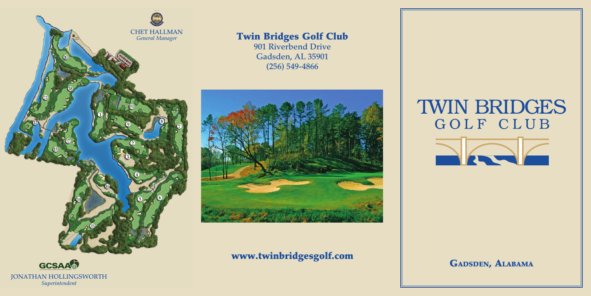

## **Twin Bridges Golf Club**

**901 Riverbend Drive Gadsden, AL 35901 (256) 549-4866**



## **www.twinbridgesgolf.com GADSDEN, ALABAMA**

**TWIN BRIDGES** GOLF CLUB



**JONATHAN HOLLINGSWORTH** *Superintendent*